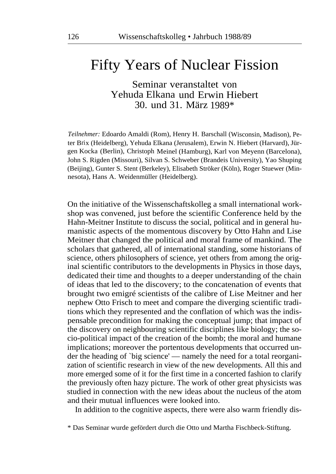## Fifty Years of Nuclear Fission

Seminar veranstaltet von Yehuda Elkana und Erwin Hiebert 30. und 31. März 1989\*

*Teilnehmer:* Edoardo Amaldi (Rom), Henry H. Barschall (Wisconsin, Madison), Peter Brix (Heidelberg), Yehuda Elkana (Jerusalem), Erwin N. Hiebert (Harvard), Jürgen Kocka (Berlin), Christoph Meinel (Hamburg), Karl von Meyenn (Barcelona), John S. Rigden (Missouri), Silvan S. Schweber (Brandeis University), Yao Shuping (Beijing), Gunter S. Stent (Berkeley), Elisabeth Ströker (Köln), Roger Stuewer (Minnesota), Hans A. Weidenmüller (Heidelberg).

On the initiative of the Wissenschaftskolleg a small international workshop was convened, just before the scientific Conference held by the Hahn-Meitner Institute to discuss the social, political and in general humanistic aspects of the momentous discovery by Otto Hahn and Lise Meitner that changed the political and moral frame of mankind. The scholars that gathered, all of international standing, some historians of science, others philosophers of science, yet others from among the original scientific contributors to the developments in Physics in those days, dedicated their time and thoughts to a deeper understanding of the chain of ideas that led to the discovery; to the concatenation of events that brought two emigré scientists of the calibre of Lise Meitner and her nephew Otto Frisch to meet and compare the diverging scientific traditions which they represented and the conflation of which was the indispensable precondition for making the conceptual jump; that impact of the discovery on neighbouring scientific disciplines like biology; the socio-political impact of the creation of the bomb; the moral and humane implications; moreover the portentous developments that occurred under the heading of `big science' — namely the need for a total reorganization of scientific research in view of the new developments. All this and more emerged some of it for the first time in a concerted fashion to clarify the previously often hazy picture. The work of other great physicists was studied in connection with the new ideas about the nucleus of the atom and their mutual influences were looked into.

In addition to the cognitive aspects, there were also warm friendly dis-

<sup>\*</sup> Das Seminar wurde gefördert durch die Otto und Martha Fischbeck-Stiftung.